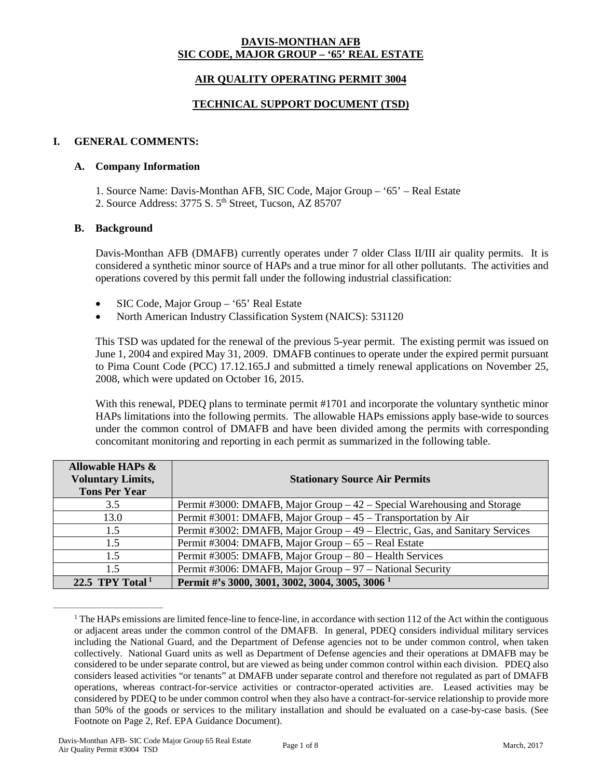#### **DAVIS-MONTHAN AFB SIC CODE, MAJOR GROUP – '65' REAL ESTATE**

# **AIR QUALITY OPERATING PERMIT 3004**

## **TECHNICAL SUPPORT DOCUMENT (TSD)**

# **I. GENERAL COMMENTS:**

#### **A. Company Information**

1. Source Name: Davis-Monthan AFB, SIC Code, Major Group – '65' – Real Estate 2. Source Address: 3775 S. 5<sup>th</sup> Street, Tucson, AZ 85707

#### **B. Background**

Davis-Monthan AFB (DMAFB) currently operates under 7 older Class II/III air quality permits. It is considered a synthetic minor source of HAPs and a true minor for all other pollutants. The activities and operations covered by this permit fall under the following industrial classification:

- SIC Code, Major Group '65' Real Estate
- North American Industry Classification System (NAICS): 531120

This TSD was updated for the renewal of the previous 5-year permit. The existing permit was issued on June 1, 2004 and expired May 31, 2009. DMAFB continues to operate under the expired permit pursuant to Pima Count Code (PCC) 17.12.165.J and submitted a timely renewal applications on November 25, 2008, which were updated on October 16, 2015.

With this renewal, PDEQ plans to terminate permit #1701 and incorporate the voluntary synthetic minor HAPs limitations into the following permits. The allowable HAPs emissions apply base-wide to sources under the common control of DMAFB and have been divided among the permits with corresponding concomitant monitoring and reporting in each permit as summarized in the following table.

| <b>Allowable HAPs &amp;</b><br><b>Voluntary Limits,</b><br><b>Tons Per Year</b> | <b>Stationary Source Air Permits</b>                                         |
|---------------------------------------------------------------------------------|------------------------------------------------------------------------------|
| 3.5                                                                             | Permit #3000: DMAFB, Major Group – 42 – Special Warehousing and Storage      |
| 13.0                                                                            | Permit #3001: DMAFB, Major Group – 45 – Transportation by Air                |
| 1.5                                                                             | Permit #3002: DMAFB, Major Group – 49 – Electric, Gas, and Sanitary Services |
| 1.5                                                                             | Permit #3004: DMAFB, Major Group – 65 – Real Estate                          |
| 1.5                                                                             | Permit #3005: DMAFB, Major Group - 80 - Health Services                      |
| 15                                                                              | Permit #3006: DMAFB, Major Group - 97 - National Security                    |
| 22.5 TPY Total <sup>1</sup>                                                     | Permit #'s 3000, 3001, 3002, 3004, 3005, 3006 <sup>1</sup>                   |

 $1$  The HAPs emissions are limited fence-line to fence-line, in accordance with section 112 of the Act within the contiguous or adjacent areas under the common control of the DMAFB. In general, PDEQ considers individual military services including the National Guard, and the Department of Defense agencies not to be under common control, when taken collectively. National Guard units as well as Department of Defense agencies and their operations at DMAFB may be considered to be under separate control, but are viewed as being under common control within each division. PDEQ also considers leased activities "or tenants" at DMAFB under separate control and therefore not regulated as part of DMAFB operations, whereas contract-for-service activities or contractor-operated activities are. Leased activities may be considered by PDEQ to be under common control when they also have a contract-for-service relationship to provide more than 50% of the goods or services to the military installation and should be evaluated on a case-by-case basis. (See Footnote on Page 2, Ref. EPA Guidance Document).

\_\_\_\_\_\_\_\_\_\_\_\_\_\_\_\_\_\_\_\_\_\_\_\_\_\_\_\_\_\_\_\_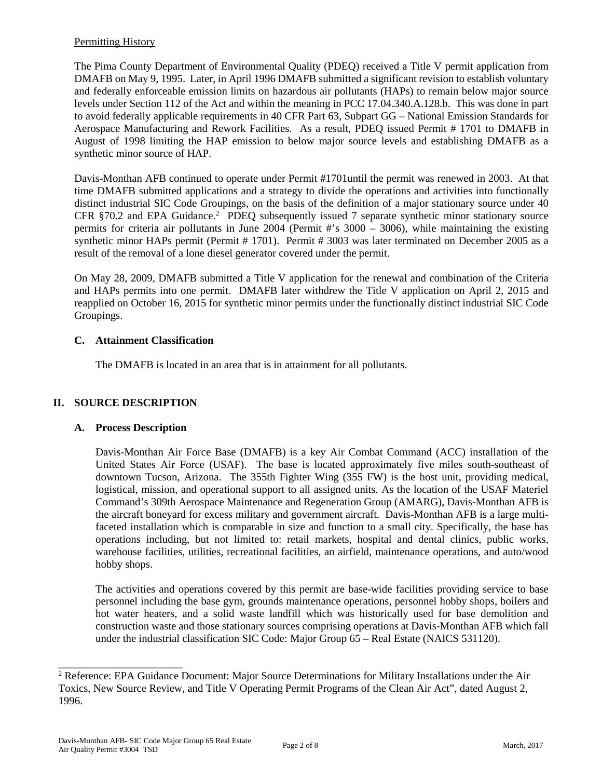# Permitting History

The Pima County Department of Environmental Quality (PDEQ) received a Title V permit application from DMAFB on May 9, 1995. Later, in April 1996 DMAFB submitted a significant revision to establish voluntary and federally enforceable emission limits on hazardous air pollutants (HAPs) to remain below major source levels under Section 112 of the Act and within the meaning in PCC 17.04.340.A.128.b. This was done in part to avoid federally applicable requirements in 40 CFR Part 63, Subpart GG – National Emission Standards for Aerospace Manufacturing and Rework Facilities. As a result, PDEQ issued Permit # 1701 to DMAFB in August of 1998 limiting the HAP emission to below major source levels and establishing DMAFB as a synthetic minor source of HAP.

Davis-Monthan AFB continued to operate under Permit #1701until the permit was renewed in 2003. At that time DMAFB submitted applications and a strategy to divide the operations and activities into functionally distinct industrial SIC Code Groupings, on the basis of the definition of a major stationary source under 40 CFR §70.2 and EPA Guidance.<sup>2</sup> PDEQ subsequently issued 7 separate synthetic minor stationary source permits for criteria air pollutants in June 2004 (Permit #'s 3000 – 3006), while maintaining the existing synthetic minor HAPs permit (Permit # 1701). Permit # 3003 was later terminated on December 2005 as a result of the removal of a lone diesel generator covered under the permit.

On May 28, 2009, DMAFB submitted a Title V application for the renewal and combination of the Criteria and HAPs permits into one permit. DMAFB later withdrew the Title V application on April 2, 2015 and reapplied on October 16, 2015 for synthetic minor permits under the functionally distinct industrial SIC Code Groupings.

# **C. Attainment Classification**

The DMAFB is located in an area that is in attainment for all pollutants.

# **II. SOURCE DESCRIPTION**

# **A. Process Description**

Davis-Monthan Air Force Base (DMAFB) is a key Air Combat Command (ACC) installation of the United States Air Force (USAF). The base is located approximately five miles south-southeast of downtown Tucson, Arizona. The 355th Fighter Wing (355 FW) is the host unit, providing medical, logistical, mission, and operational support to all assigned units. As the location of the USAF Materiel Command's 309th Aerospace Maintenance and Regeneration Group (AMARG), Davis-Monthan AFB is the aircraft boneyard for excess military and government aircraft. Davis-Monthan AFB is a large multifaceted installation which is comparable in size and function to a small city. Specifically, the base has operations including, but not limited to: retail markets, hospital and dental clinics, public works, warehouse facilities, utilities, recreational facilities, an airfield, maintenance operations, and auto/wood hobby shops.

The activities and operations covered by this permit are base-wide facilities providing service to base personnel including the base gym, grounds maintenance operations, personnel hobby shops, boilers and hot water heaters, and a solid waste landfill which was historically used for base demolition and construction waste and those stationary sources comprising operations at Davis-Monthan AFB which fall under the industrial classification SIC Code: Major Group 65 – Real Estate (NAICS 531120).

\_\_\_\_\_\_\_\_\_\_\_\_\_\_\_\_\_\_\_\_\_\_\_

<sup>&</sup>lt;sup>2</sup> Reference: EPA Guidance Document: Major Source Determinations for Military Installations under the Air Toxics, New Source Review, and Title V Operating Permit Programs of the Clean Air Act", dated August 2, 1996.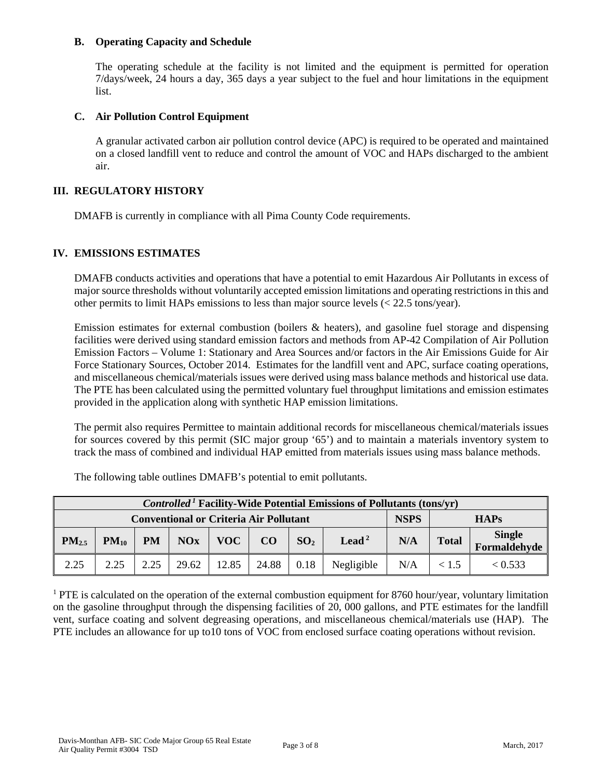### **B. Operating Capacity and Schedule**

The operating schedule at the facility is not limited and the equipment is permitted for operation 7/days/week, 24 hours a day, 365 days a year subject to the fuel and hour limitations in the equipment list.

### **C. Air Pollution Control Equipment**

A granular activated carbon air pollution control device (APC) is required to be operated and maintained on a closed landfill vent to reduce and control the amount of VOC and HAPs discharged to the ambient air.

### **III. REGULATORY HISTORY**

DMAFB is currently in compliance with all Pima County Code requirements.

#### **IV. EMISSIONS ESTIMATES**

DMAFB conducts activities and operations that have a potential to emit Hazardous Air Pollutants in excess of major source thresholds without voluntarily accepted emission limitations and operating restrictions in this and other permits to limit HAPs emissions to less than major source levels (< 22.5 tons/year).

Emission estimates for external combustion (boilers & heaters), and gasoline fuel storage and dispensing facilities were derived using standard emission factors and methods from AP-42 Compilation of Air Pollution Emission Factors – Volume 1: Stationary and Area Sources and/or factors in the Air Emissions Guide for Air Force Stationary Sources, October 2014. Estimates for the landfill vent and APC, surface coating operations, and miscellaneous chemical/materials issues were derived using mass balance methods and historical use data. The PTE has been calculated using the permitted voluntary fuel throughput limitations and emission estimates provided in the application along with synthetic HAP emission limitations.

The permit also requires Permittee to maintain additional records for miscellaneous chemical/materials issues for sources covered by this permit (SIC major group '65') and to maintain a materials inventory system to track the mass of combined and individual HAP emitted from materials issues using mass balance methods.

| <i>Controlled</i> <sup>1</sup> Facility-Wide Potential Emissions of Pollutants (tons/yr) |           |           |       |             |       |                 |                   |     |              |                        |
|------------------------------------------------------------------------------------------|-----------|-----------|-------|-------------|-------|-----------------|-------------------|-----|--------------|------------------------|
| <b>Conventional or Criteria Air Pollutant</b>                                            |           |           |       | <b>NSPS</b> |       | <b>HAPs</b>     |                   |     |              |                        |
| PM <sub>2.5</sub>                                                                        | $PM_{10}$ | <b>PM</b> | NOx   | <b>VOC</b>  | CO    | SO <sub>2</sub> | Lead <sup>2</sup> | N/A | <b>Total</b> | Single<br>Formaldehyde |
| 2.25                                                                                     | 2.25      | 2.25      | 29.62 | 12.85       | 24.88 | 0.18            | Negligible        | N/A | < 1.5        | < 0.533                |

The following table outlines DMAFB's potential to emit pollutants.

<sup>1</sup> PTE is calculated on the operation of the external combustion equipment for 8760 hour/year, voluntary limitation on the gasoline throughput through the dispensing facilities of 20, 000 gallons, and PTE estimates for the landfill vent, surface coating and solvent degreasing operations, and miscellaneous chemical/materials use (HAP). The PTE includes an allowance for up to10 tons of VOC from enclosed surface coating operations without revision.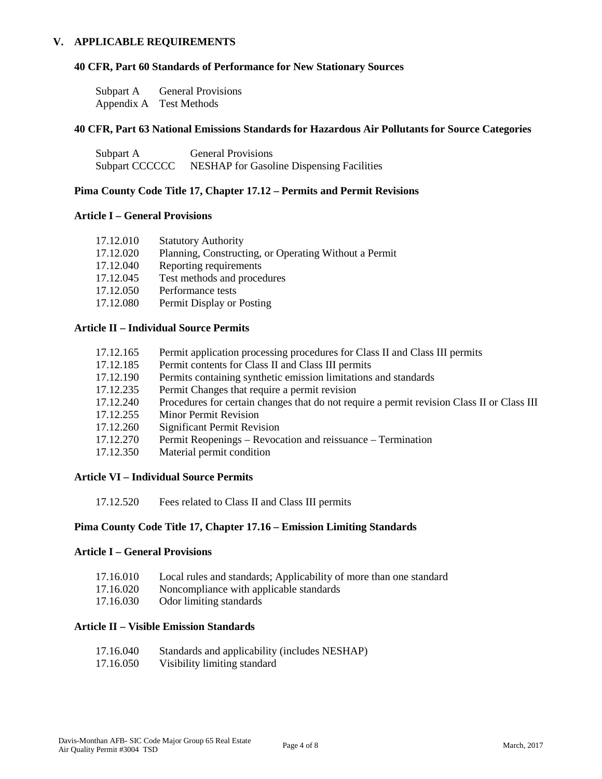#### **V. APPLICABLE REQUIREMENTS**

#### **40 CFR, Part 60 Standards of Performance for New Stationary Sources**

| Subpart A  | <b>General Provisions</b> |
|------------|---------------------------|
| Appendix A | <b>Test Methods</b>       |

### **40 CFR, Part 63 National Emissions Standards for Hazardous Air Pollutants for Source Categories**

| Subpart A      | <b>General Provisions</b>                        |
|----------------|--------------------------------------------------|
| Subpart CCCCCC | <b>NESHAP</b> for Gasoline Dispensing Facilities |

#### **Pima County Code Title 17, Chapter 17.12 – Permits and Permit Revisions**

#### **Article I – General Provisions**

| 17.12.010 | <b>Statutory Authority</b>                            |
|-----------|-------------------------------------------------------|
| 17.12.020 | Planning, Constructing, or Operating Without a Permit |
| 17.12.040 | Reporting requirements                                |
| 17.12.045 | Test methods and procedures                           |
| 17.12.050 | Performance tests                                     |
| 17.12.080 | Permit Display or Posting                             |

#### **Article II – Individual Source Permits**

| 17.12.165 | Permit application processing procedures for Class II and Class III permits                |
|-----------|--------------------------------------------------------------------------------------------|
| 17.12.185 | Permit contents for Class II and Class III permits                                         |
| 17.12.190 | Permits containing synthetic emission limitations and standards                            |
| 17.12.235 | Permit Changes that require a permit revision                                              |
| 17.12.240 | Procedures for certain changes that do not require a permit revision Class II or Class III |
| 17.12.255 | <b>Minor Permit Revision</b>                                                               |
| 17.12.260 | Significant Permit Revision                                                                |
| 17.12.270 | Permit Reopenings – Revocation and reissuance – Termination                                |
| 17.12.350 | Material permit condition                                                                  |
|           |                                                                                            |

#### **Article VI – Individual Source Permits**

17.12.520 Fees related to Class II and Class III permits

#### **Pima County Code Title 17, Chapter 17.16 – Emission Limiting Standards**

### **Article I – General Provisions**

- 17.16.010 Local rules and standards; Applicability of more than one standard
- 17.16.020 Noncompliance with applicable standards
- 17.16.030 Odor limiting standards

#### **Article II – Visible Emission Standards**

| 17.16.040            | Standards and applicability (includes NESHAP) |
|----------------------|-----------------------------------------------|
| 17 16 $\triangle$ CM | Wisikility limiting standard                  |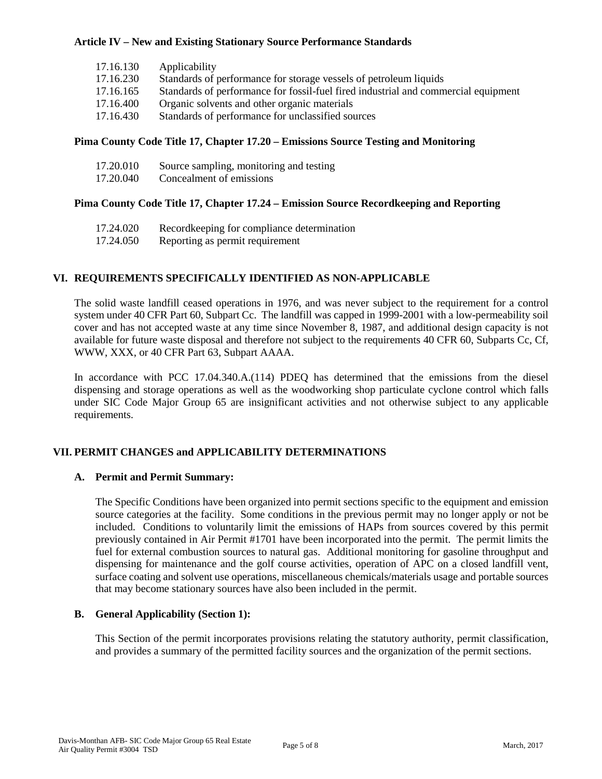## **Article IV – New and Existing Stationary Source Performance Standards**

| 17.16.130 | Applicability                                                                      |
|-----------|------------------------------------------------------------------------------------|
| 17.16.230 | Standards of performance for storage vessels of petroleum liquids                  |
| 17.16.165 | Standards of performance for fossil-fuel fired industrial and commercial equipment |
| 17.16.400 | Organic solvents and other organic materials                                       |
| 17.16.430 | Standards of performance for unclassified sources                                  |

## **Pima County Code Title 17, Chapter 17.20 – Emissions Source Testing and Monitoring**

| 17.20.010 | Source sampling, monitoring and testing |
|-----------|-----------------------------------------|
| 17.20.040 | Concealment of emissions                |

# **Pima County Code Title 17, Chapter 17.24 – Emission Source Recordkeeping and Reporting**

| 17.24.020 | Recordkeeping for compliance determination |
|-----------|--------------------------------------------|
| 17.24.050 | Reporting as permit requirement            |

# **VI. REQUIREMENTS SPECIFICALLY IDENTIFIED AS NON-APPLICABLE**

The solid waste landfill ceased operations in 1976, and was never subject to the requirement for a control system under 40 CFR Part 60, Subpart Cc. The landfill was capped in 1999-2001 with a low-permeability soil cover and has not accepted waste at any time since November 8, 1987, and additional design capacity is not available for future waste disposal and therefore not subject to the requirements 40 CFR 60, Subparts Cc, Cf, WWW, XXX, or 40 CFR Part 63, Subpart AAAA.

In accordance with PCC 17.04.340.A.(114) PDEQ has determined that the emissions from the diesel dispensing and storage operations as well as the woodworking shop particulate cyclone control which falls under SIC Code Major Group 65 are insignificant activities and not otherwise subject to any applicable requirements.

# **VII. PERMIT CHANGES and APPLICABILITY DETERMINATIONS**

### **A. Permit and Permit Summary:**

The Specific Conditions have been organized into permit sections specific to the equipment and emission source categories at the facility. Some conditions in the previous permit may no longer apply or not be included. Conditions to voluntarily limit the emissions of HAPs from sources covered by this permit previously contained in Air Permit #1701 have been incorporated into the permit. The permit limits the fuel for external combustion sources to natural gas. Additional monitoring for gasoline throughput and dispensing for maintenance and the golf course activities, operation of APC on a closed landfill vent, surface coating and solvent use operations, miscellaneous chemicals/materials usage and portable sources that may become stationary sources have also been included in the permit.

### **B. General Applicability (Section 1):**

This Section of the permit incorporates provisions relating the statutory authority, permit classification, and provides a summary of the permitted facility sources and the organization of the permit sections.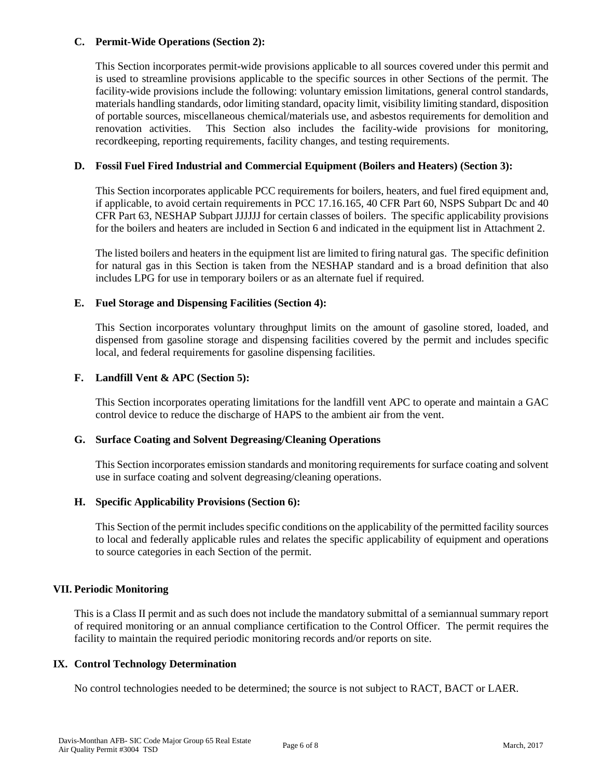## **C. Permit-Wide Operations (Section 2):**

This Section incorporates permit-wide provisions applicable to all sources covered under this permit and is used to streamline provisions applicable to the specific sources in other Sections of the permit. The facility-wide provisions include the following: voluntary emission limitations, general control standards, materials handling standards, odor limiting standard, opacity limit, visibility limiting standard, disposition of portable sources, miscellaneous chemical/materials use, and asbestos requirements for demolition and renovation activities. This Section also includes the facility-wide provisions for monitoring, recordkeeping, reporting requirements, facility changes, and testing requirements.

### **D. Fossil Fuel Fired Industrial and Commercial Equipment (Boilers and Heaters) (Section 3):**

This Section incorporates applicable PCC requirements for boilers, heaters, and fuel fired equipment and, if applicable, to avoid certain requirements in PCC 17.16.165, 40 CFR Part 60, NSPS Subpart Dc and 40 CFR Part 63, NESHAP Subpart JJJJJJ for certain classes of boilers. The specific applicability provisions for the boilers and heaters are included in Section 6 and indicated in the equipment list in Attachment 2.

The listed boilers and heaters in the equipment list are limited to firing natural gas. The specific definition for natural gas in this Section is taken from the NESHAP standard and is a broad definition that also includes LPG for use in temporary boilers or as an alternate fuel if required.

# **E. Fuel Storage and Dispensing Facilities (Section 4):**

This Section incorporates voluntary throughput limits on the amount of gasoline stored, loaded, and dispensed from gasoline storage and dispensing facilities covered by the permit and includes specific local, and federal requirements for gasoline dispensing facilities.

# **F. Landfill Vent & APC (Section 5):**

This Section incorporates operating limitations for the landfill vent APC to operate and maintain a GAC control device to reduce the discharge of HAPS to the ambient air from the vent.

### **G. Surface Coating and Solvent Degreasing/Cleaning Operations**

This Section incorporates emission standards and monitoring requirements for surface coating and solvent use in surface coating and solvent degreasing/cleaning operations.

### **H. Specific Applicability Provisions (Section 6):**

This Section of the permit includes specific conditions on the applicability of the permitted facility sources to local and federally applicable rules and relates the specific applicability of equipment and operations to source categories in each Section of the permit.

### **VII. Periodic Monitoring**

This is a Class II permit and as such does not include the mandatory submittal of a semiannual summary report of required monitoring or an annual compliance certification to the Control Officer. The permit requires the facility to maintain the required periodic monitoring records and/or reports on site.

### **IX. Control Technology Determination**

No control technologies needed to be determined; the source is not subject to RACT, BACT or LAER.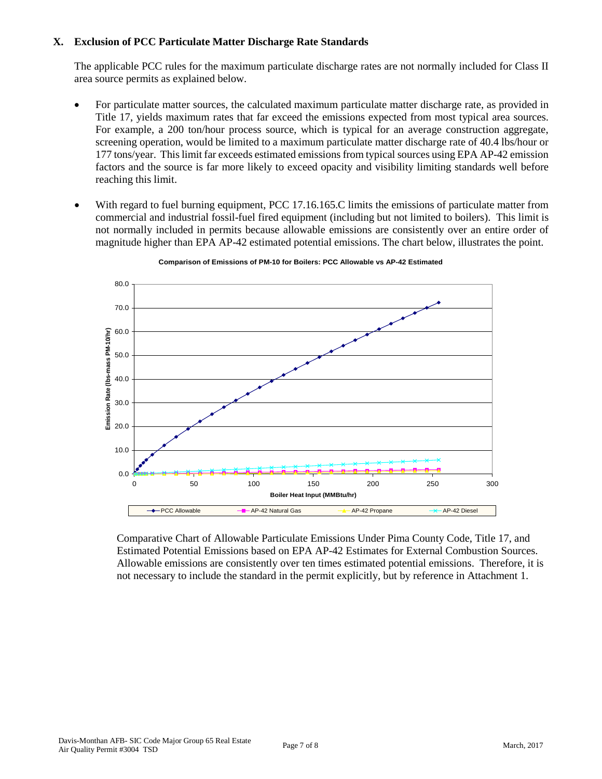## **X. Exclusion of PCC Particulate Matter Discharge Rate Standards**

The applicable PCC rules for the maximum particulate discharge rates are not normally included for Class II area source permits as explained below.

- For particulate matter sources, the calculated maximum particulate matter discharge rate, as provided in Title 17, yields maximum rates that far exceed the emissions expected from most typical area sources. For example, a 200 ton/hour process source, which is typical for an average construction aggregate, screening operation, would be limited to a maximum particulate matter discharge rate of 40.4 lbs/hour or 177 tons/year. This limit far exceeds estimated emissions from typical sources using EPA AP-42 emission factors and the source is far more likely to exceed opacity and visibility limiting standards well before reaching this limit.
- With regard to fuel burning equipment, PCC 17.16.165.C limits the emissions of particulate matter from commercial and industrial fossil-fuel fired equipment (including but not limited to boilers). This limit is not normally included in permits because allowable emissions are consistently over an entire order of magnitude higher than EPA AP-42 estimated potential emissions. The chart below, illustrates the point.



**Comparison of Emissions of PM-10 for Boilers: PCC Allowable vs AP-42 Estimated**

Comparative Chart of Allowable Particulate Emissions Under Pima County Code, Title 17, and Estimated Potential Emissions based on EPA AP-42 Estimates for External Combustion Sources. Allowable emissions are consistently over ten times estimated potential emissions. Therefore, it is not necessary to include the standard in the permit explicitly, but by reference in Attachment 1.